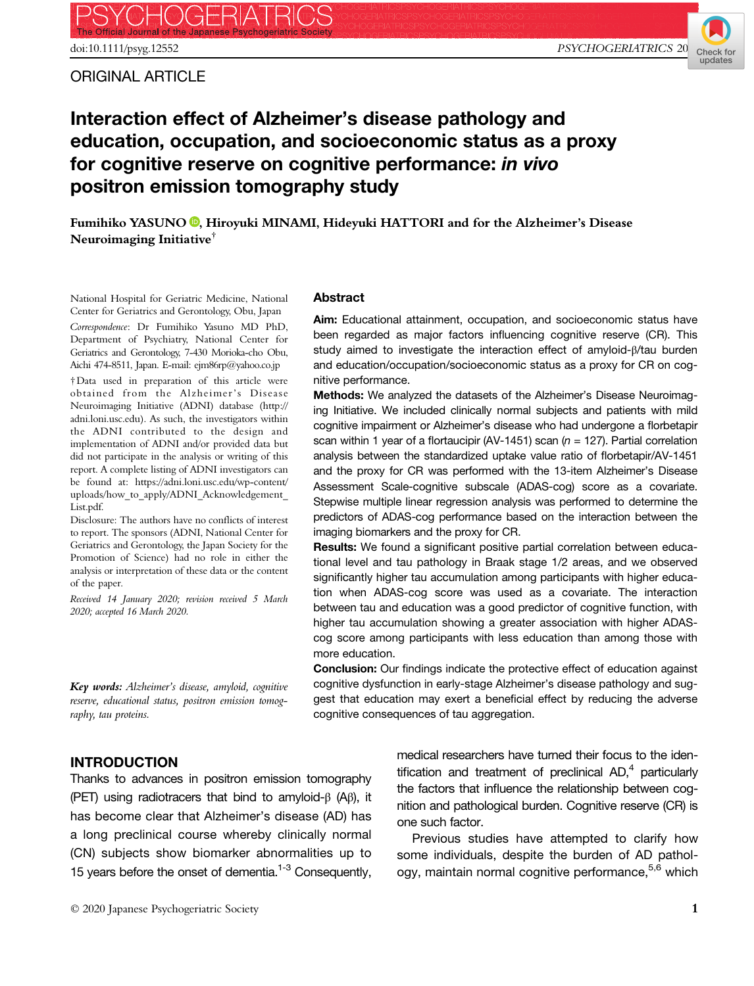ORIGINAL ARTICLE



# Interaction effect of Alzheimer's disease pathology and education, occupation, and socioeconomic status as a proxy for cognitive reserve on cognitive performance: in vivo positron emission tomography study

Fumihiko YASUNO<sup>O</sup>[,](https://orcid.org/0000-0002-5981-5795) Hiroyuki MINAMI, Hideyuki HATTORI and for the Alzheimer's Disease Neuroimaging Initiative†

National Hospital for Geriatric Medicine, National Center for Geriatrics and Gerontology, Obu, Japan

Correspondence: Dr Fumihiko Yasuno MD PhD, Department of Psychiatry, National Center for Geriatrics and Gerontology, 7-430 Morioka-cho Obu, Aichi 474-8511, Japan. E-mail: ejm86rp@yahoo.co.jp

†Data used in preparation of this article were obtained from the Alzheimer's Disease Neuroimaging Initiative (ADNI) database ([http://](http://adni.loni.usc.edu) [adni.loni.usc.edu\)](http://adni.loni.usc.edu). As such, the investigators within the ADNI contributed to the design and implementation of ADNI and/or provided data but did not participate in the analysis or writing of this report. A complete listing of ADNI investigators can be found at: [https://adni.loni.usc.edu/wp-content/](https://adni.loni.usc.edu/wp-content/uploads/how_to_apply/ADNI_Acknowledgement_List.pdf) uploads/how\_to\_apply/ADNI\_Acknowledgement [List.pdf.](https://adni.loni.usc.edu/wp-content/uploads/how_to_apply/ADNI_Acknowledgement_List.pdf)

Disclosure: The authors have no conflicts of interest to report. The sponsors (ADNI, National Center for Geriatrics and Gerontology, the Japan Society for the Promotion of Science) had no role in either the analysis or interpretation of these data or the content of the paper.

Received 14 January 2020; revision received 5 March 2020; accepted 16 March 2020.

Key words: Alzheimer's disease, amyloid, cognitive reserve, educational status, positron emission tomography, tau proteins.

#### Abstract

Aim: Educational attainment, occupation, and socioeconomic status have been regarded as major factors influencing cognitive reserve (CR). This study aimed to investigate the interaction effect of amyloid-β/tau burden and education/occupation/socioeconomic status as a proxy for CR on cognitive performance.

Methods: We analyzed the datasets of the Alzheimer's Disease Neuroimaging Initiative. We included clinically normal subjects and patients with mild cognitive impairment or Alzheimer's disease who had undergone a florbetapir scan within 1 year of a flortaucipir (AV-1451) scan ( $n = 127$ ). Partial correlation analysis between the standardized uptake value ratio of florbetapir/AV-1451 and the proxy for CR was performed with the 13-item Alzheimer's Disease Assessment Scale-cognitive subscale (ADAS-cog) score as a covariate. Stepwise multiple linear regression analysis was performed to determine the predictors of ADAS-cog performance based on the interaction between the imaging biomarkers and the proxy for CR.

Results: We found a significant positive partial correlation between educational level and tau pathology in Braak stage 1/2 areas, and we observed significantly higher tau accumulation among participants with higher education when ADAS-cog score was used as a covariate. The interaction between tau and education was a good predictor of cognitive function, with higher tau accumulation showing a greater association with higher ADAScog score among participants with less education than among those with more education.

Conclusion: Our findings indicate the protective effect of education against cognitive dysfunction in early-stage Alzheimer's disease pathology and suggest that education may exert a beneficial effect by reducing the adverse cognitive consequences of tau aggregation.

#### INTRODUCTION

Thanks to advances in positron emission tomography (PET) using radiotracers that bind to amyloid-β (Aβ), it has become clear that Alzheimer's disease (AD) has a long preclinical course whereby clinically normal (CN) subjects show biomarker abnormalities up to 15 years before the onset of dementia.<sup>1-3</sup> Consequently, medical researchers have turned their focus to the identification and treatment of preclinical  $AD<sub>1</sub><sup>4</sup>$  particularly the factors that influence the relationship between cognition and pathological burden. Cognitive reserve (CR) is one such factor.

Previous studies have attempted to clarify how some individuals, despite the burden of AD pathology, maintain normal cognitive performance,<sup>5,6</sup> which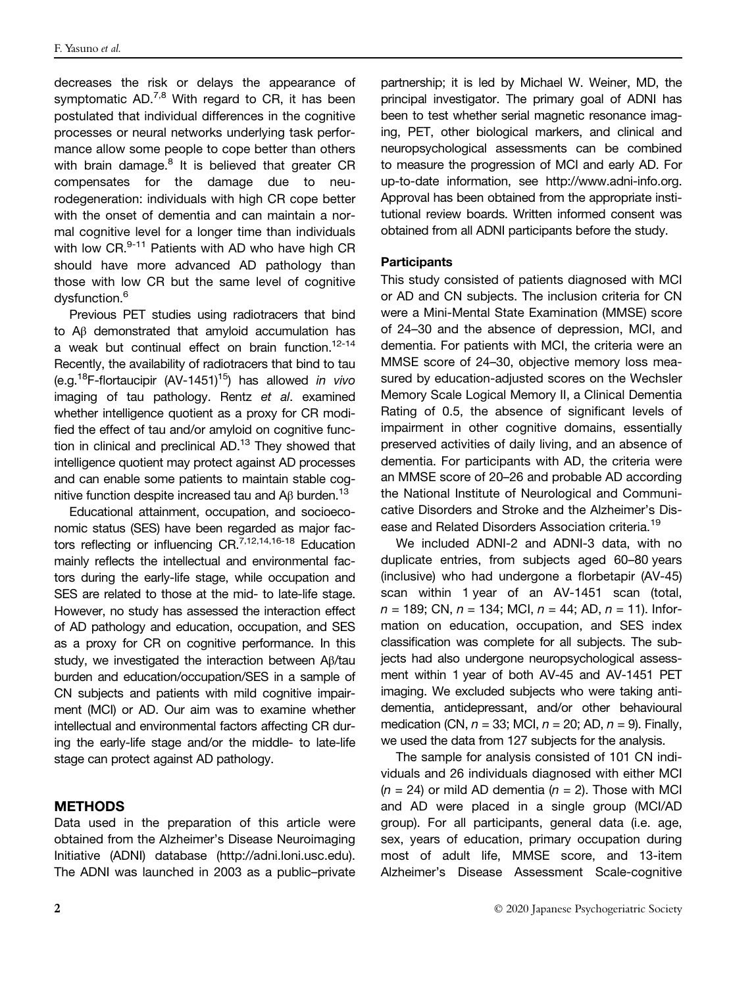decreases the risk or delays the appearance of symptomatic AD.<sup>7,8</sup> With regard to CR, it has been postulated that individual differences in the cognitive processes or neural networks underlying task performance allow some people to cope better than others with brain damage. $8$  It is believed that greater CR compensates for the damage due to neurodegeneration: individuals with high CR cope better with the onset of dementia and can maintain a normal cognitive level for a longer time than individuals with low CR.<sup>9-11</sup> Patients with AD who have high CR should have more advanced AD pathology than those with low CR but the same level of cognitive dysfunction.<sup>6</sup>

Previous PET studies using radiotracers that bind to Aβ demonstrated that amyloid accumulation has a weak but continual effect on brain function.<sup>12-14</sup> Recently, the availability of radiotracers that bind to tau (e.g.<sup>18</sup>F-flortaucipir (AV-1451)<sup>15</sup>) has allowed in vivo imaging of tau pathology. Rentz et al. examined whether intelligence quotient as a proxy for CR modified the effect of tau and/or amyloid on cognitive function in clinical and preclinical AD. $13$  They showed that intelligence quotient may protect against AD processes and can enable some patients to maintain stable cognitive function despite increased tau and Aβ burden.<sup>13</sup>

Educational attainment, occupation, and socioeconomic status (SES) have been regarded as major factors reflecting or influencing CR.<sup>7,12,14,16-18</sup> Education mainly reflects the intellectual and environmental factors during the early-life stage, while occupation and SES are related to those at the mid- to late-life stage. However, no study has assessed the interaction effect of AD pathology and education, occupation, and SES as a proxy for CR on cognitive performance. In this study, we investigated the interaction between Aβ/tau burden and education/occupation/SES in a sample of CN subjects and patients with mild cognitive impairment (MCI) or AD. Our aim was to examine whether intellectual and environmental factors affecting CR during the early-life stage and/or the middle- to late-life stage can protect against AD pathology.

### **METHODS**

Data used in the preparation of this article were obtained from the Alzheimer's Disease Neuroimaging Initiative (ADNI) database ([http://adni.loni.usc.edu\)](http://adni.loni.usc.edu/). The ADNI was launched in 2003 as a public–private

partnership; it is led by Michael W. Weiner, MD, the principal investigator. The primary goal of ADNI has been to test whether serial magnetic resonance imaging, PET, other biological markers, and clinical and neuropsychological assessments can be combined to measure the progression of MCI and early AD. For up-to-date information, see<http://www.adni-info.org>. Approval has been obtained from the appropriate institutional review boards. Written informed consent was obtained from all ADNI participants before the study.

#### **Participants**

This study consisted of patients diagnosed with MCI or AD and CN subjects. The inclusion criteria for CN were a Mini-Mental State Examination (MMSE) score of 24–30 and the absence of depression, MCI, and dementia. For patients with MCI, the criteria were an MMSE score of 24–30, objective memory loss measured by education-adjusted scores on the Wechsler Memory Scale Logical Memory II, a Clinical Dementia Rating of 0.5, the absence of significant levels of impairment in other cognitive domains, essentially preserved activities of daily living, and an absence of dementia. For participants with AD, the criteria were an MMSE score of 20–26 and probable AD according the National Institute of Neurological and Communicative Disorders and Stroke and the Alzheimer's Disease and Related Disorders Association criteria.<sup>19</sup>

We included ADNI-2 and ADNI-3 data, with no duplicate entries, from subjects aged 60–80 years (inclusive) who had undergone a florbetapir (AV-45) scan within 1 year of an AV-1451 scan (total,  $n = 189$ ; CN,  $n = 134$ ; MCI,  $n = 44$ ; AD,  $n = 11$ ). Information on education, occupation, and SES index classification was complete for all subjects. The subjects had also undergone neuropsychological assessment within 1 year of both AV-45 and AV-1451 PET imaging. We excluded subjects who were taking antidementia, antidepressant, and/or other behavioural medication (CN,  $n = 33$ ; MCI,  $n = 20$ ; AD,  $n = 9$ ). Finally, we used the data from 127 subjects for the analysis.

The sample for analysis consisted of 101 CN individuals and 26 individuals diagnosed with either MCI  $(n = 24)$  or mild AD dementia  $(n = 2)$ . Those with MCI and AD were placed in a single group (MCI/AD group). For all participants, general data (i.e. age, sex, years of education, primary occupation during most of adult life, MMSE score, and 13-item Alzheimer's Disease Assessment Scale-cognitive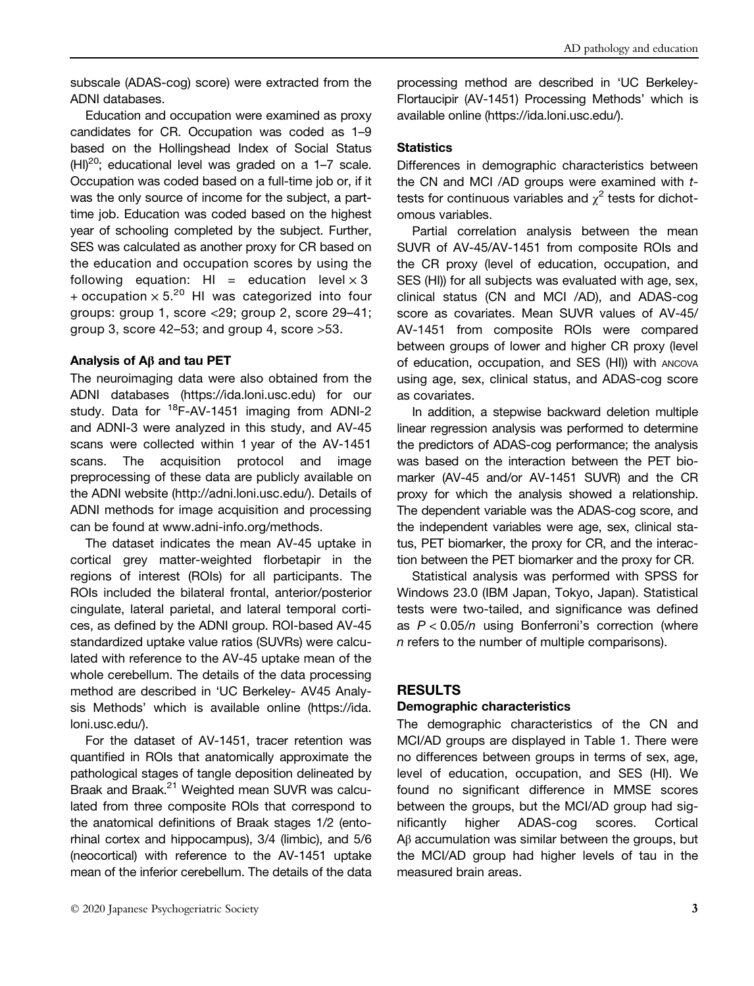subscale (ADAS-cog) score) were extracted from the ADNI databases.

Education and occupation were examined as proxy candidates for CR. Occupation was coded as 1–9 based on the Hollingshead Index of Social Status  $(HI)^{20}$ ; educational level was graded on a 1–7 scale. Occupation was coded based on a full-time job or, if it was the only source of income for the subject, a parttime job. Education was coded based on the highest year of schooling completed by the subject. Further, SES was calculated as another proxy for CR based on the education and occupation scores by using the following equation: HI = education level  $\times$  3 + occupation  $\times$  5.<sup>20</sup> HI was categorized into four groups: group 1, score <29; group 2, score 29–41; group 3, score 42–53; and group 4, score >53.

#### Analysis of Aβ and tau PET

The neuroimaging data were also obtained from the ADNI databases [\(https://ida.loni.usc.edu\)](https://ida.loni.usc.edu) for our study. Data for  $^{18}F-AV-1451$  imaging from ADNI-2 and ADNI-3 were analyzed in this study, and AV-45 scans were collected within 1 year of the AV-1451 scans. The acquisition protocol and image preprocessing of these data are publicly available on the ADNI website [\(http://adni.loni.usc.edu/\)](http://adni.loni.usc.edu/). Details of ADNI methods for image acquisition and processing can be found at [www.adni-info.org/methods](http://www.adni-info.org/methods).

The dataset indicates the mean AV-45 uptake in cortical grey matter-weighted florbetapir in the regions of interest (ROIs) for all participants. The ROIs included the bilateral frontal, anterior/posterior cingulate, lateral parietal, and lateral temporal cortices, as defined by the ADNI group. ROI-based AV-45 standardized uptake value ratios (SUVRs) were calculated with reference to the AV-45 uptake mean of the whole cerebellum. The details of the data processing method are described in 'UC Berkeley- AV45 Analysis Methods' which is available online ([https://ida.](https://ida.loni.usc.edu/) [loni.usc.edu/](https://ida.loni.usc.edu/)).

For the dataset of AV-1451, tracer retention was quantified in ROIs that anatomically approximate the pathological stages of tangle deposition delineated by Braak and Braak.<sup>21</sup> Weighted mean SUVR was calculated from three composite ROIs that correspond to the anatomical definitions of Braak stages 1/2 (entorhinal cortex and hippocampus), 3/4 (limbic), and 5/6 (neocortical) with reference to the AV-1451 uptake mean of the inferior cerebellum. The details of the data processing method are described in 'UC Berkeley-Flortaucipir (AV-1451) Processing Methods' which is available online [\(https://ida.loni.usc.edu/\)](https://ida.loni.usc.edu/).

#### **Statistics**

Differences in demographic characteristics between the CN and MCI /AD groups were examined with ttests for continuous variables and  $\chi^2$  tests for dichotomous variables.

Partial correlation analysis between the mean SUVR of AV-45/AV-1451 from composite ROIs and the CR proxy (level of education, occupation, and SES (HI)) for all subjects was evaluated with age, sex, clinical status (CN and MCI /AD), and ADAS-cog score as covariates. Mean SUVR values of AV-45/ AV-1451 from composite ROIs were compared between groups of lower and higher CR proxy (level of education, occupation, and SES (HI)) with ANCOVA using age, sex, clinical status, and ADAS-cog score as covariates.

In addition, a stepwise backward deletion multiple linear regression analysis was performed to determine the predictors of ADAS-cog performance; the analysis was based on the interaction between the PET biomarker (AV-45 and/or AV-1451 SUVR) and the CR proxy for which the analysis showed a relationship. The dependent variable was the ADAS-cog score, and the independent variables were age, sex, clinical status, PET biomarker, the proxy for CR, and the interaction between the PET biomarker and the proxy for CR.

Statistical analysis was performed with SPSS for Windows 23.0 (IBM Japan, Tokyo, Japan). Statistical tests were two-tailed, and significance was defined as  $P < 0.05/n$  using Bonferroni's correction (where n refers to the number of multiple comparisons).

### RESULTS

### Demographic characteristics

The demographic characteristics of the CN and MCI/AD groups are displayed in Table 1. There were no differences between groups in terms of sex, age, level of education, occupation, and SES (HI). We found no significant difference in MMSE scores between the groups, but the MCI/AD group had significantly higher ADAS-cog scores. Cortical Aβ accumulation was similar between the groups, but the MCI/AD group had higher levels of tau in the measured brain areas.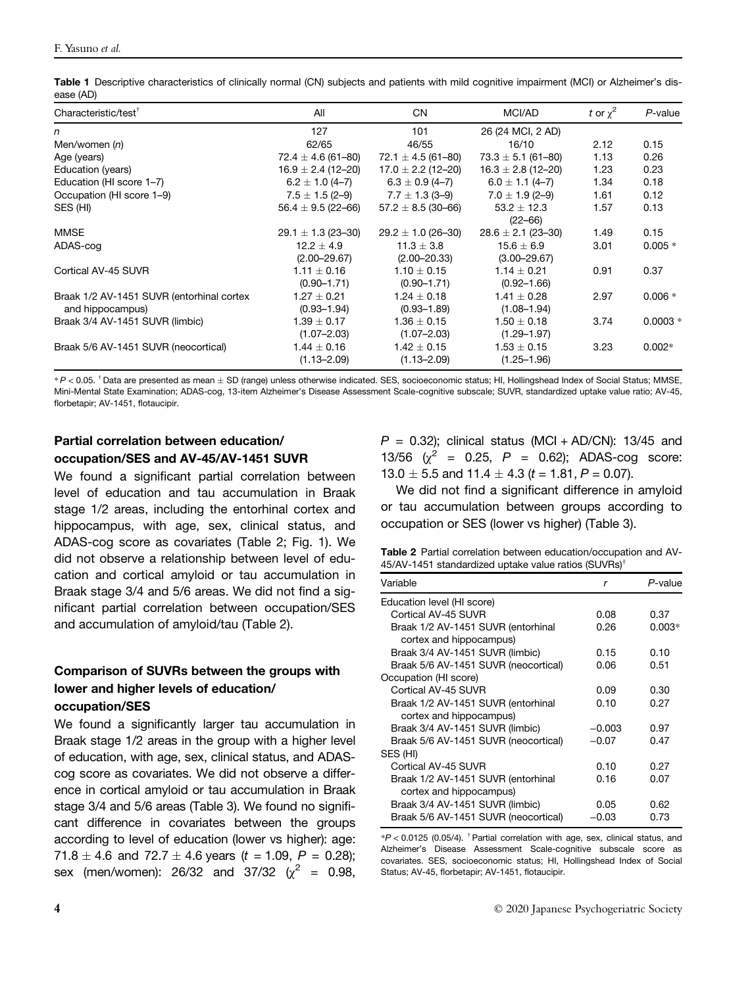| Table 1 Descriptive characteristics of clinically normal (CN) subjects and patients with mild cognitive impairment (MCI) or Alzheimer's dis- |  |  |
|----------------------------------------------------------------------------------------------------------------------------------------------|--|--|
| ease (AD)                                                                                                                                    |  |  |

| Characteristic/test <sup>†</sup>          | All                    | <b>CN</b>              | MCI/AD                 | t or $\chi^2$ | $P$ -value |
|-------------------------------------------|------------------------|------------------------|------------------------|---------------|------------|
| n                                         | 127                    | 101                    | 26 (24 MCI, 2 AD)      |               |            |
| Men/women (n)                             | 62/65                  | 46/55                  | 16/10                  | 2.12          | 0.15       |
| Age (years)                               | $72.4 \pm 4.6$ (61-80) | $72.1 \pm 4.5$ (61-80) | $73.3 \pm 5.1$ (61-80) | 1.13          | 0.26       |
| Education (years)                         | $16.9 \pm 2.4$ (12–20) | $17.0 \pm 2.2$ (12–20) | $16.3 \pm 2.8$ (12-20) | 1.23          | 0.23       |
| Education (HI score 1-7)                  | $6.2 \pm 1.0(4 - 7)$   | $6.3 \pm 0.9$ (4-7)    | $6.0 \pm 1.1 (4 - 7)$  | 1.34          | 0.18       |
| Occupation (HI score 1-9)                 | $7.5 \pm 1.5$ (2-9)    | $7.7 \pm 1.3$ (3-9)    | $7.0 \pm 1.9$ (2-9)    | 1.61          | 0.12       |
| SES (HI)                                  | $56.4 \pm 9.5$ (22-66) | $57.2 \pm 8.5$ (30-66) | $53.2 \pm 12.3$        | 1.57          | 0.13       |
|                                           |                        |                        | $(22 - 66)$            |               |            |
| <b>MMSE</b>                               | $29.1 \pm 1.3$ (23-30) | $29.2 \pm 1.0$ (26-30) | $28.6 \pm 2.1$ (23-30) | 1.49          | 0.15       |
| ADAS-cog                                  | $12.2 + 4.9$           | $11.3 \pm 3.8$         | $15.6 \pm 6.9$         | 3.01          | $0.005 *$  |
|                                           | $(2.00 - 29.67)$       | $(2.00 - 20.33)$       | $(3.00 - 29.67)$       |               |            |
| Cortical AV-45 SUVR                       | $1.11 \pm 0.16$        | $1.10 \pm 0.15$        | $1.14 \pm 0.21$        | 0.91          | 0.37       |
|                                           | $(0.90 - 1.71)$        | $(0.90 - 1.71)$        | $(0.92 - 1.66)$        |               |            |
| Braak 1/2 AV-1451 SUVR (entorhinal cortex | $1.27 \pm 0.21$        | $1.24 \pm 0.18$        | $1.41 \pm 0.28$        | 2.97          | $0.006 *$  |
| and hippocampus)                          | $(0.93 - 1.94)$        | $(0.93 - 1.89)$        | $(1.08 - 1.94)$        |               |            |
| Braak 3/4 AV-1451 SUVR (limbic)           | $1.39 \pm 0.17$        | $1.36 \pm 0.15$        | $1.50 \pm 0.18$        | 3.74          | $0.0003 *$ |
|                                           | $(1.07 - 2.03)$        | $(1.07 - 2.03)$        | $(1.29 - 1.97)$        |               |            |
| Braak 5/6 AV-1451 SUVR (neocortical)      | $1.44 \pm 0.16$        | $1.42 \pm 0.15$        | $1.53 \pm 0.15$        | 3.23          | $0.002*$   |
|                                           | $(1.13 - 2.09)$        | $(1.13 - 2.09)$        | $(1.25 - 1.96)$        |               |            |

\* <sup>P</sup> < 0.05. †Data are presented as mean SD (range) unless otherwise indicated. SES, socioeconomic status; HI, Hollingshead Index of Social Status; MMSE, Mini-Mental State Examination; ADAS-cog, 13-item Alzheimer's Disease Assessment Scale-cognitive subscale; SUVR, standardized uptake value ratio; AV-45, florbetapir; AV-1451, flotaucipir.

# Partial correlation between education/ occupation/SES and AV-45/AV-1451 SUVR

We found a significant partial correlation between level of education and tau accumulation in Braak stage 1/2 areas, including the entorhinal cortex and hippocampus, with age, sex, clinical status, and ADAS-cog score as covariates (Table 2; Fig. 1). We did not observe a relationship between level of education and cortical amyloid or tau accumulation in Braak stage 3/4 and 5/6 areas. We did not find a significant partial correlation between occupation/SES and accumulation of amyloid/tau (Table 2).

## Comparison of SUVRs between the groups with lower and higher levels of education/ occupation/SES

We found a significantly larger tau accumulation in Braak stage 1/2 areas in the group with a higher level of education, with age, sex, clinical status, and ADAScog score as covariates. We did not observe a difference in cortical amyloid or tau accumulation in Braak stage 3/4 and 5/6 areas (Table 3). We found no significant difference in covariates between the groups according to level of education (lower vs higher): age: 71.8  $\pm$  4.6 and 72.7  $\pm$  4.6 years (t = 1.09, P = 0.28); sex (men/women): 26/32 and 37/32 ( $\chi^2$  = 0.98,  $P = 0.32$ ); clinical status (MCI + AD/CN): 13/45 and 13/56  $(\chi^2 = 0.25, P = 0.62)$ ; ADAS-cog score: 13.0  $\pm$  5.5 and 11.4  $\pm$  4.3 (t = 1.81, P = 0.07).

We did not find a significant difference in amyloid or tau accumulation between groups according to occupation or SES (lower vs higher) (Table 3).

Table 2 Partial correlation between education/occupation and AV-45/AV-1451 standardized uptake value ratios (SUVRs)†

| Variable                             | r        | P-value  |
|--------------------------------------|----------|----------|
| Education level (HI score)           |          |          |
| Cortical AV-45 SUVR                  | 0.08     | 0.37     |
| Braak 1/2 AV-1451 SUVR (entorhinal   | 0.26     | $0.003*$ |
| cortex and hippocampus)              |          |          |
| Braak 3/4 AV-1451 SUVR (limbic)      | 0.15     | 0.10     |
| Braak 5/6 AV-1451 SUVR (neocortical) | 0.06     | 0.51     |
| Occupation (HI score)                |          |          |
| Cortical AV-45 SUVR                  | 0.09     | 0.30     |
| Braak 1/2 AV-1451 SUVR (entorhinal   | 0.10     | 0.27     |
| cortex and hippocampus)              |          |          |
| Braak 3/4 AV-1451 SUVR (limbic)      | $-0.003$ | 0.97     |
| Braak 5/6 AV-1451 SUVR (neocortical) | $-0.07$  | 0.47     |
| SES (HI)                             |          |          |
| Cortical AV-45 SUVR                  | 0.10     | 0.27     |
| Braak 1/2 AV-1451 SUVR (entorhinal   | 0.16     | 0.07     |
| cortex and hippocampus)              |          |          |
| Braak 3/4 AV-1451 SUVR (limbic)      | 0.05     | 0.62     |
| Braak 5/6 AV-1451 SUVR (neocortical) | $-0.03$  | 0.73     |

 $*P < 0.0125$  (0.05/4). <sup>†</sup> Partial correlation with age, sex, clinical status, and Alzheimer's Disease Assessment Scale-cognitive subscale score as covariates. SES, socioeconomic status; HI, Hollingshead Index of Social Status; AV-45, florbetapir; AV-1451, flotaucipir.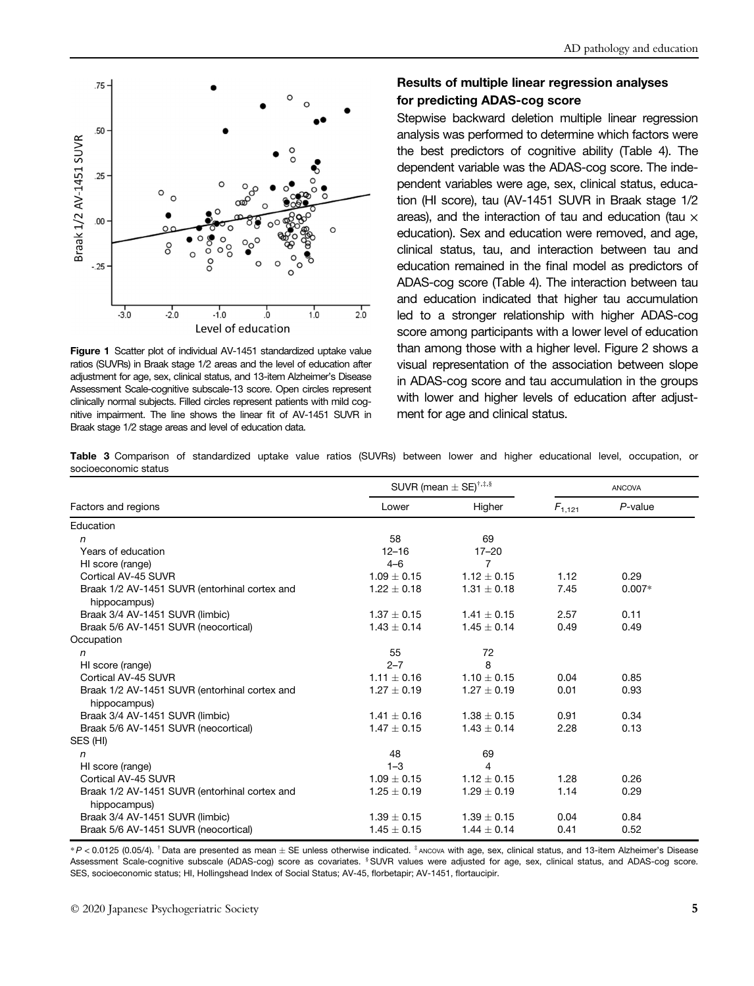

Figure 1 Scatter plot of individual AV-1451 standardized uptake value ratios (SUVRs) in Braak stage 1/2 areas and the level of education after adjustment for age, sex, clinical status, and 13-item Alzheimer's Disease Assessment Scale-cognitive subscale-13 score. Open circles represent clinically normal subjects. Filled circles represent patients with mild cognitive impairment. The line shows the linear fit of AV-1451 SUVR in Braak stage 1/2 stage areas and level of education data.

## Results of multiple linear regression analyses for predicting ADAS-cog score

Stepwise backward deletion multiple linear regression analysis was performed to determine which factors were the best predictors of cognitive ability (Table 4). The dependent variable was the ADAS-cog score. The independent variables were age, sex, clinical status, education (HI score), tau (AV-1451 SUVR in Braak stage 1/2 areas), and the interaction of tau and education (tau  $\times$ education). Sex and education were removed, and age, clinical status, tau, and interaction between tau and education remained in the final model as predictors of ADAS-cog score (Table 4). The interaction between tau and education indicated that higher tau accumulation led to a stronger relationship with higher ADAS-cog score among participants with a lower level of education than among those with a higher level. Figure 2 shows a visual representation of the association between slope in ADAS-cog score and tau accumulation in the groups with lower and higher levels of education after adjustment for age and clinical status.

Table 3 Comparison of standardized uptake value ratios (SUVRs) between lower and higher educational level, occupation, or socioeconomic status

|                                                               |                 | SUVR (mean $\pm$ SE) <sup>†,‡,§</sup> | <b>ANCOVA</b> |            |  |
|---------------------------------------------------------------|-----------------|---------------------------------------|---------------|------------|--|
| Factors and regions                                           | Lower           | Higher                                | $F_{1,121}$   | $P$ -value |  |
| Education                                                     |                 |                                       |               |            |  |
| n                                                             | 58              | 69                                    |               |            |  |
| Years of education                                            | $12 - 16$       | $17 - 20$                             |               |            |  |
| HI score (range)                                              | $4 - 6$         | $\overline{7}$                        |               |            |  |
| Cortical AV-45 SUVR                                           | $1.09 + 0.15$   | $1.12 + 0.15$                         | 1.12          | 0.29       |  |
| Braak 1/2 AV-1451 SUVR (entorhinal cortex and<br>hippocampus) | $1.22 \pm 0.18$ | $1.31 \pm 0.18$                       | 7.45          | $0.007*$   |  |
| Braak 3/4 AV-1451 SUVR (limbic)                               | $1.37 \pm 0.15$ | $1.41 \pm 0.15$                       | 2.57          | 0.11       |  |
| Braak 5/6 AV-1451 SUVR (neocortical)                          | $1.43 \pm 0.14$ | $1.45 \pm 0.14$                       | 0.49          | 0.49       |  |
| Occupation                                                    |                 |                                       |               |            |  |
| n                                                             | 55              | 72                                    |               |            |  |
| HI score (range)                                              | $2 - 7$         | 8                                     |               |            |  |
| Cortical AV-45 SUVR                                           | $1.11 \pm 0.16$ | $1.10 \pm 0.15$                       | 0.04          | 0.85       |  |
| Braak 1/2 AV-1451 SUVR (entorhinal cortex and<br>hippocampus) | $1.27 \pm 0.19$ | $1.27 \pm 0.19$                       | 0.01          | 0.93       |  |
| Braak 3/4 AV-1451 SUVR (limbic)                               | $1.41 \pm 0.16$ | $1.38 \pm 0.15$                       | 0.91          | 0.34       |  |
| Braak 5/6 AV-1451 SUVR (neocortical)                          | $1.47 \pm 0.15$ | $1.43 \pm 0.14$                       | 2.28          | 0.13       |  |
| SES (HI)                                                      |                 |                                       |               |            |  |
| n                                                             | 48              | 69                                    |               |            |  |
| HI score (range)                                              | $1 - 3$         | 4                                     |               |            |  |
| Cortical AV-45 SUVR                                           | $1.09 \pm 0.15$ | $1.12 \pm 0.15$                       | 1.28          | 0.26       |  |
| Braak 1/2 AV-1451 SUVR (entorhinal cortex and<br>hippocampus) | $1.25 \pm 0.19$ | $1.29 \pm 0.19$                       | 1.14          | 0.29       |  |
| Braak 3/4 AV-1451 SUVR (limbic)                               | $1.39 \pm 0.15$ | $1.39 \pm 0.15$                       | 0.04          | 0.84       |  |
| Braak 5/6 AV-1451 SUVR (neocortical)                          | $1.45 \pm 0.15$ | $1.44 \pm 0.14$                       | 0.41          | 0.52       |  |

 $*P < 0.0125$  (0.05/4). <sup>†</sup>Data are presented as mean  $\pm$  SE unless otherwise indicated.  $*$  ANCOVA with age, sex, clinical status, and 13-item Alzheimer's Disease Assessment Scale-cognitive subscale (ADAS-cog) score as covariates. <sup>§</sup>SUVR values were adjusted for age, sex, clinical status, and ADAS-cog score. SES, socioeconomic status; HI, Hollingshead Index of Social Status; AV-45, florbetapir; AV-1451, flortaucipir.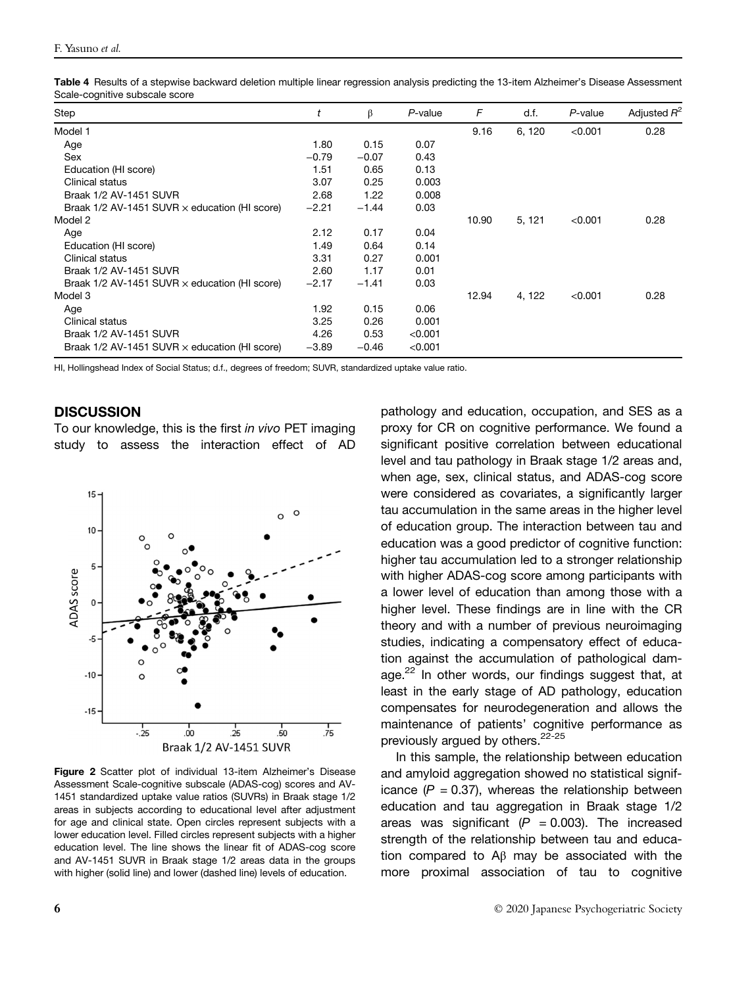| Table 4 Results of a stepwise backward deletion multiple linear regression analysis predicting the 13-item Alzheimer's Disease Assessment |  |  |
|-------------------------------------------------------------------------------------------------------------------------------------------|--|--|
| Scale-cognitive subscale score                                                                                                            |  |  |

| Step                                                   |         | β       | $P$ -value | F     | d.f.   | P-value | Adjusted $R^2$ |
|--------------------------------------------------------|---------|---------|------------|-------|--------|---------|----------------|
| Model 1                                                |         |         |            | 9.16  | 6, 120 | < 0.001 | 0.28           |
| Age                                                    | 1.80    | 0.15    | 0.07       |       |        |         |                |
| Sex                                                    | $-0.79$ | $-0.07$ | 0.43       |       |        |         |                |
| Education (HI score)                                   | 1.51    | 0.65    | 0.13       |       |        |         |                |
| Clinical status                                        | 3.07    | 0.25    | 0.003      |       |        |         |                |
| Braak 1/2 AV-1451 SUVR                                 | 2.68    | 1.22    | 0.008      |       |        |         |                |
| Braak $1/2$ AV-1451 SUVR $\times$ education (HI score) | $-2.21$ | $-1.44$ | 0.03       |       |        |         |                |
| Model 2                                                |         |         |            | 10.90 | 5, 121 | < 0.001 | 0.28           |
| Age                                                    | 2.12    | 0.17    | 0.04       |       |        |         |                |
| Education (HI score)                                   | 1.49    | 0.64    | 0.14       |       |        |         |                |
| Clinical status                                        | 3.31    | 0.27    | 0.001      |       |        |         |                |
| Braak 1/2 AV-1451 SUVR                                 | 2.60    | 1.17    | 0.01       |       |        |         |                |
| Braak $1/2$ AV-1451 SUVR $\times$ education (HI score) | $-2.17$ | $-1.41$ | 0.03       |       |        |         |                |
| Model 3                                                |         |         |            | 12.94 | 4, 122 | < 0.001 | 0.28           |
| Age                                                    | 1.92    | 0.15    | 0.06       |       |        |         |                |
| Clinical status                                        | 3.25    | 0.26    | 0.001      |       |        |         |                |
| Braak 1/2 AV-1451 SUVR                                 | 4.26    | 0.53    | < 0.001    |       |        |         |                |
| Braak $1/2$ AV-1451 SUVR $\times$ education (HI score) | $-3.89$ | $-0.46$ | < 0.001    |       |        |         |                |

HI, Hollingshead Index of Social Status; d.f., degrees of freedom; SUVR, standardized uptake value ratio.

#### **DISCUSSION**

To our knowledge, this is the first in vivo PET imaging study to assess the interaction effect of AD



Figure 2 Scatter plot of individual 13-item Alzheimer's Disease Assessment Scale-cognitive subscale (ADAS-cog) scores and AV-1451 standardized uptake value ratios (SUVRs) in Braak stage 1/2 areas in subjects according to educational level after adjustment for age and clinical state. Open circles represent subjects with a lower education level. Filled circles represent subjects with a higher education level. The line shows the linear fit of ADAS-cog score and AV-1451 SUVR in Braak stage 1/2 areas data in the groups with higher (solid line) and lower (dashed line) levels of education.

pathology and education, occupation, and SES as a proxy for CR on cognitive performance. We found a significant positive correlation between educational level and tau pathology in Braak stage 1/2 areas and, when age, sex, clinical status, and ADAS-cog score were considered as covariates, a significantly larger tau accumulation in the same areas in the higher level of education group. The interaction between tau and education was a good predictor of cognitive function: higher tau accumulation led to a stronger relationship with higher ADAS-cog score among participants with a lower level of education than among those with a higher level. These findings are in line with the CR theory and with a number of previous neuroimaging studies, indicating a compensatory effect of education against the accumulation of pathological damage.<sup>22</sup> In other words, our findings suggest that, at least in the early stage of AD pathology, education compensates for neurodegeneration and allows the maintenance of patients' cognitive performance as previously argued by others.<sup>22-25</sup>

In this sample, the relationship between education and amyloid aggregation showed no statistical significance  $(P = 0.37)$ , whereas the relationship between education and tau aggregation in Braak stage 1/2 areas was significant  $(P = 0.003)$ . The increased strength of the relationship between tau and education compared to Aβ may be associated with the more proximal association of tau to cognitive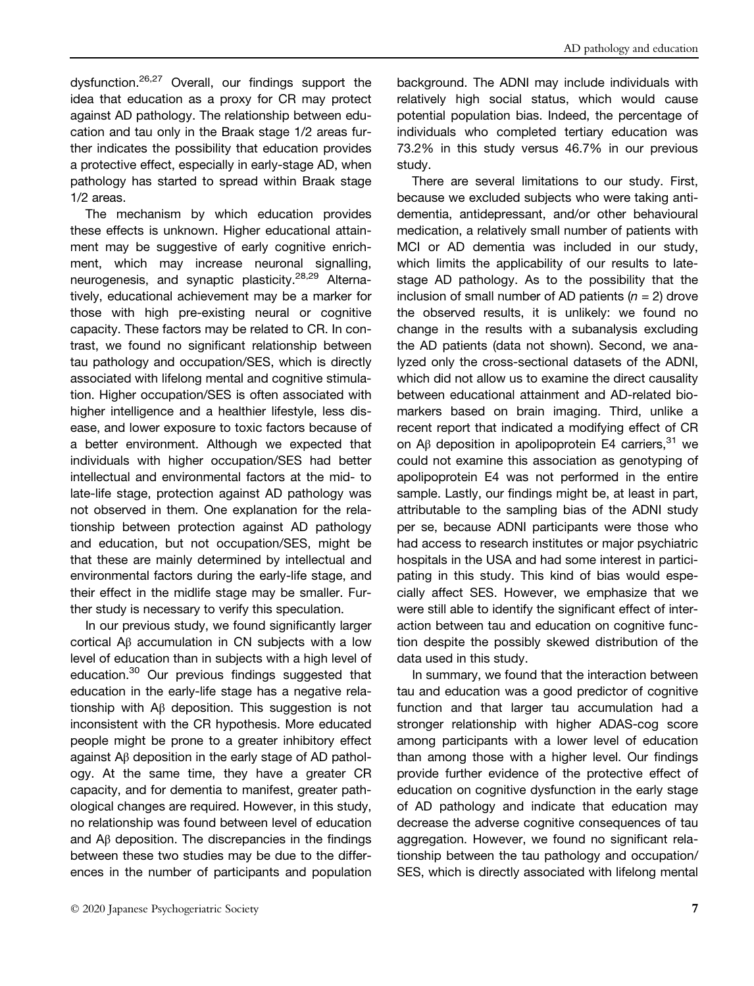dysfunction.26,27 Overall, our findings support the idea that education as a proxy for CR may protect against AD pathology. The relationship between education and tau only in the Braak stage 1/2 areas further indicates the possibility that education provides a protective effect, especially in early-stage AD, when pathology has started to spread within Braak stage 1/2 areas.

The mechanism by which education provides these effects is unknown. Higher educational attainment may be suggestive of early cognitive enrichment, which may increase neuronal signalling, neurogenesis, and synaptic plasticity.<sup>28,29</sup> Alternatively, educational achievement may be a marker for those with high pre-existing neural or cognitive capacity. These factors may be related to CR. In contrast, we found no significant relationship between tau pathology and occupation/SES, which is directly associated with lifelong mental and cognitive stimulation. Higher occupation/SES is often associated with higher intelligence and a healthier lifestyle, less disease, and lower exposure to toxic factors because of a better environment. Although we expected that individuals with higher occupation/SES had better intellectual and environmental factors at the mid- to late-life stage, protection against AD pathology was not observed in them. One explanation for the relationship between protection against AD pathology and education, but not occupation/SES, might be that these are mainly determined by intellectual and environmental factors during the early-life stage, and their effect in the midlife stage may be smaller. Further study is necessary to verify this speculation.

In our previous study, we found significantly larger cortical Aβ accumulation in CN subjects with a low level of education than in subjects with a high level of education.<sup>30</sup> Our previous findings suggested that education in the early-life stage has a negative relationship with Aβ deposition. This suggestion is not inconsistent with the CR hypothesis. More educated people might be prone to a greater inhibitory effect against Aβ deposition in the early stage of AD pathology. At the same time, they have a greater CR capacity, and for dementia to manifest, greater pathological changes are required. However, in this study, no relationship was found between level of education and Aβ deposition. The discrepancies in the findings between these two studies may be due to the differences in the number of participants and population

background. The ADNI may include individuals with relatively high social status, which would cause potential population bias. Indeed, the percentage of individuals who completed tertiary education was 73.2% in this study versus 46.7% in our previous study.

There are several limitations to our study. First, because we excluded subjects who were taking antidementia, antidepressant, and/or other behavioural medication, a relatively small number of patients with MCI or AD dementia was included in our study, which limits the applicability of our results to latestage AD pathology. As to the possibility that the inclusion of small number of AD patients  $(n = 2)$  drove the observed results, it is unlikely: we found no change in the results with a subanalysis excluding the AD patients (data not shown). Second, we analyzed only the cross-sectional datasets of the ADNI, which did not allow us to examine the direct causality between educational attainment and AD-related biomarkers based on brain imaging. Third, unlike a recent report that indicated a modifying effect of CR on A $\beta$  deposition in apolipoprotein E4 carriers.<sup>31</sup> we could not examine this association as genotyping of apolipoprotein E4 was not performed in the entire sample. Lastly, our findings might be, at least in part, attributable to the sampling bias of the ADNI study per se, because ADNI participants were those who had access to research institutes or major psychiatric hospitals in the USA and had some interest in participating in this study. This kind of bias would especially affect SES. However, we emphasize that we were still able to identify the significant effect of interaction between tau and education on cognitive function despite the possibly skewed distribution of the data used in this study.

In summary, we found that the interaction between tau and education was a good predictor of cognitive function and that larger tau accumulation had a stronger relationship with higher ADAS-cog score among participants with a lower level of education than among those with a higher level. Our findings provide further evidence of the protective effect of education on cognitive dysfunction in the early stage of AD pathology and indicate that education may decrease the adverse cognitive consequences of tau aggregation. However, we found no significant relationship between the tau pathology and occupation/ SES, which is directly associated with lifelong mental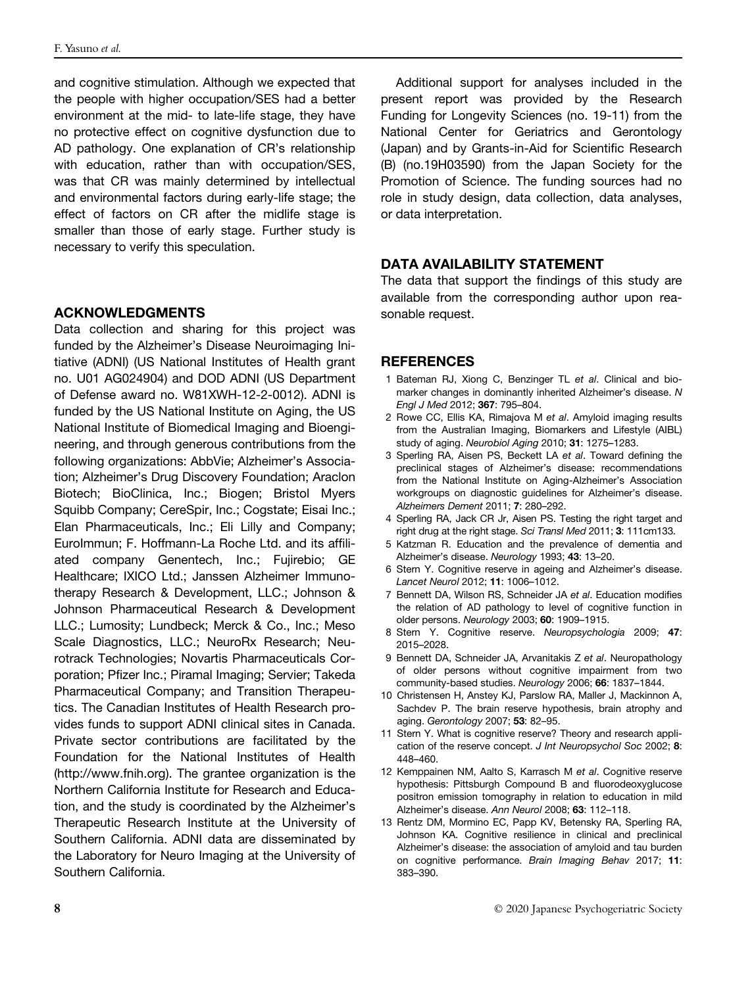and cognitive stimulation. Although we expected that the people with higher occupation/SES had a better environment at the mid- to late-life stage, they have no protective effect on cognitive dysfunction due to AD pathology. One explanation of CR's relationship with education, rather than with occupation/SES, was that CR was mainly determined by intellectual and environmental factors during early-life stage; the effect of factors on CR after the midlife stage is smaller than those of early stage. Further study is necessary to verify this speculation.

#### ACKNOWLEDGMENTS

Data collection and sharing for this project was funded by the Alzheimer's Disease Neuroimaging Initiative (ADNI) (US National Institutes of Health grant no. U01 AG024904) and DOD ADNI (US Department of Defense award no. W81XWH-12-2-0012). ADNI is funded by the US National Institute on Aging, the US National Institute of Biomedical Imaging and Bioengineering, and through generous contributions from the following organizations: AbbVie; Alzheimer's Association; Alzheimer's Drug Discovery Foundation; Araclon Biotech; BioClinica, Inc.; Biogen; Bristol Myers Squibb Company; CereSpir, Inc.; Cogstate; Eisai Inc.; Elan Pharmaceuticals, Inc.; Eli Lilly and Company; EuroImmun; F. Hoffmann-La Roche Ltd. and its affiliated company Genentech, Inc.; Fujirebio; GE Healthcare; IXICO Ltd.; Janssen Alzheimer Immunotherapy Research & Development, LLC.; Johnson & Johnson Pharmaceutical Research & Development LLC.; Lumosity; Lundbeck; Merck & Co., Inc.; Meso Scale Diagnostics, LLC.; NeuroRx Research; Neurotrack Technologies; Novartis Pharmaceuticals Corporation; Pfizer Inc.; Piramal Imaging; Servier; Takeda Pharmaceutical Company; and Transition Therapeutics. The Canadian Institutes of Health Research provides funds to support ADNI clinical sites in Canada. Private sector contributions are facilitated by the Foundation for the National Institutes of Health [\(http://www.fnih.org\)](http://www.fnih.org). The grantee organization is the Northern California Institute for Research and Education, and the study is coordinated by the Alzheimer's Therapeutic Research Institute at the University of Southern California. ADNI data are disseminated by the Laboratory for Neuro Imaging at the University of Southern California.

Additional support for analyses included in the present report was provided by the Research Funding for Longevity Sciences (no. 19-11) from the National Center for Geriatrics and Gerontology (Japan) and by Grants-in-Aid for Scientific Research (B) (no.19H03590) from the Japan Society for the Promotion of Science. The funding sources had no role in study design, data collection, data analyses, or data interpretation.

# DATA AVAILABILITY STATEMENT

The data that support the findings of this study are available from the corresponding author upon reasonable request.

#### **REFERENCES**

- 1 Bateman RJ, Xiong C, Benzinger TL et al. Clinical and biomarker changes in dominantly inherited Alzheimer's disease. N Engl J Med 2012; 367: 795–804.
- 2 Rowe CC, Ellis KA, Rimajova M et al. Amyloid imaging results from the Australian Imaging, Biomarkers and Lifestyle (AIBL) study of aging. Neurobiol Aging 2010; 31: 1275–1283.
- 3 Sperling RA, Aisen PS, Beckett LA et al. Toward defining the preclinical stages of Alzheimer's disease: recommendations from the National Institute on Aging-Alzheimer's Association workgroups on diagnostic guidelines for Alzheimer's disease. Alzheimers Dement 2011; 7: 280–292.
- 4 Sperling RA, Jack CR Jr, Aisen PS. Testing the right target and right drug at the right stage. Sci Transl Med 2011; 3: 111cm133.
- 5 Katzman R. Education and the prevalence of dementia and Alzheimer's disease. Neurology 1993; 43: 13–20.
- 6 Stern Y. Cognitive reserve in ageing and Alzheimer's disease. Lancet Neurol 2012; 11: 1006–1012.
- 7 Bennett DA, Wilson RS, Schneider JA et al. Education modifies the relation of AD pathology to level of cognitive function in older persons. Neurology 2003; 60: 1909–1915.
- 8 Stern Y. Cognitive reserve. Neuropsychologia 2009; 47: 2015–2028.
- 9 Bennett DA, Schneider JA, Arvanitakis Z et al. Neuropathology of older persons without cognitive impairment from two community-based studies. Neurology 2006; 66: 1837–1844.
- 10 Christensen H, Anstey KJ, Parslow RA, Maller J, Mackinnon A, Sachdev P. The brain reserve hypothesis, brain atrophy and aging. Gerontology 2007; 53: 82–95.
- 11 Stern Y. What is cognitive reserve? Theory and research application of the reserve concept. J Int Neuropsychol Soc 2002; 8: 448–460.
- 12 Kemppainen NM, Aalto S, Karrasch M et al. Cognitive reserve hypothesis: Pittsburgh Compound B and fluorodeoxyglucose positron emission tomography in relation to education in mild Alzheimer's disease. Ann Neurol 2008; 63: 112–118.
- 13 Rentz DM, Mormino EC, Papp KV, Betensky RA, Sperling RA, Johnson KA. Cognitive resilience in clinical and preclinical Alzheimer's disease: the association of amyloid and tau burden on cognitive performance. Brain Imaging Behav 2017; 11: 383–390.